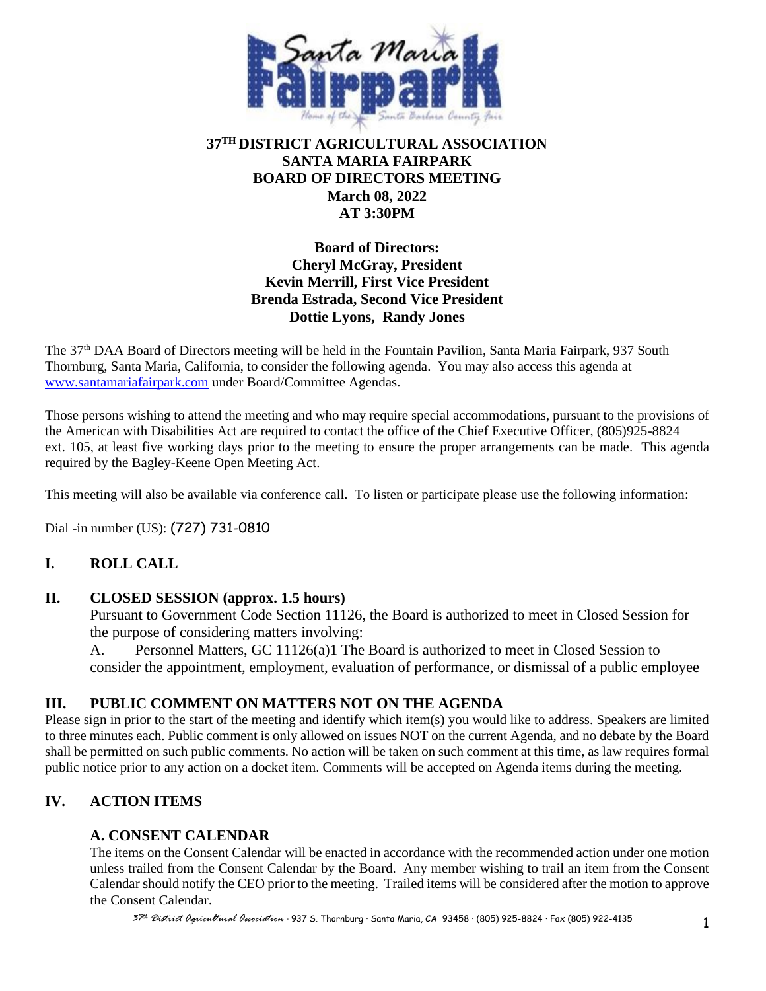

# **37TH DISTRICT AGRICULTURAL ASSOCIATION SANTA MARIA FAIRPARK BOARD OF DIRECTORS MEETING March 08, 2022 AT 3:30PM**

**Board of Directors: Cheryl McGray, President Kevin Merrill, First Vice President Brenda Estrada, Second Vice President Dottie Lyons, Randy Jones**

The 37th DAA Board of Directors meeting will be held in the Fountain Pavilion, Santa Maria Fairpark, 937 South Thornburg, Santa Maria, California, to consider the following agenda. You may also access this agenda at [www.santamariafairpark.com](http://www.santamariafairpark.com/) under Board/Committee Agendas.

Those persons wishing to attend the meeting and who may require special accommodations, pursuant to the provisions of the American with Disabilities Act are required to contact the office of the Chief Executive Officer, (805)925-8824 ext. 105, at least five working days prior to the meeting to ensure the proper arrangements can be made. This agenda required by the Bagley-Keene Open Meeting Act.

This meeting will also be available via conference call. To listen or participate please use the following information:

Dial -in number (US): (727) 731-0810

# **I. ROLL CALL**

#### **II. CLOSED SESSION (approx. 1.5 hours)**

Pursuant to Government Code Section 11126, the Board is authorized to meet in Closed Session for the purpose of considering matters involving:

A. Personnel Matters, GC 11126(a)1 The Board is authorized to meet in Closed Session to consider the appointment, employment, evaluation of performance, or dismissal of a public employee

# **III. PUBLIC COMMENT ON MATTERS NOT ON THE AGENDA**

Please sign in prior to the start of the meeting and identify which item(s) you would like to address. Speakers are limited to three minutes each. Public comment is only allowed on issues NOT on the current Agenda, and no debate by the Board shall be permitted on such public comments. No action will be taken on such comment at this time, as law requires formal public notice prior to any action on a docket item. Comments will be accepted on Agenda items during the meeting.

# **IV. ACTION ITEMS**

# **A. CONSENT CALENDAR**

The items on the Consent Calendar will be enacted in accordance with the recommended action under one motion unless trailed from the Consent Calendar by the Board. Any member wishing to trail an item from the Consent Calendar should notify the CEO prior to the meeting. Trailed items will be considered after the motion to approve the Consent Calendar.